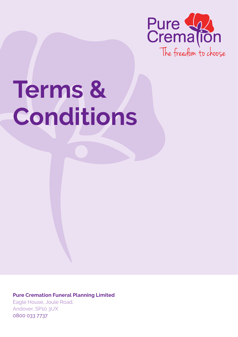

# **Terms & Conditions**

**Pure Cremation Funeral Planning Limited** Eagle House, Joule Road, Andover, SP10 3UX 0800 033 7737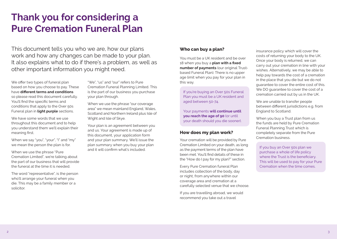# **Thank you for considering a Pure Cremation Funeral Plan**

This document tells you who we are, how our plans work and how any changes can be made to your plan. It also explains what to do if there's a problem, as well as other important information you might need.

We offer two types of funeral plan based on how you choose to pay. These have **different terms and conditions** so please read this document carefully. You'll find the specific terms and conditions that apply to the Over 50s Funeral plan in **light purple** sections.

We have some words that we use throughout this document and to help you understand them we'll explain their meaning first.

When we say "you", "your", "I" and "my" we mean the person the plan is for.

When we use the phrase "Pure Cremation Limited", we're talking about the part of our business that will provide the funeral at the time it is needed.

The word "representative", is the person who'll arrange your funeral when you die. This may be a family member or a solicitor.

"We", "us" and "our" refers to Pure Cremation Funeral Planning Limited. This is the part of our business you purchase your plan through.

When we use the phrase "our coverage area" we mean mainland England, Wales, Scotland and Northern Ireland plus Isle of Wight and Isle of Skye.

Your plan is an agreement between you and us. Your agreement is made up of this document, your application form and your plan summary. We'll issue the plan summary when you buy your plan and it will confirm what's included.

# **Who can buy a plan?**

You must be a UK resident and be over 18 when you buy a **plan with a fixed number of payments** (our original Trustbased Funeral Plan). There is no upper age limit when you pay for your plan in this way.

If you're buying an Over 50s Funeral Plan you must be a UK resident and aged between 50-74.

Your payments **will continue until you reach the age of 90** (or until your death should you die sooner).

# **How does my plan work?**

Your cremation will be provided by Pure Cremation Limited on your death, as long as the payment terms of the plan have been met. You'll find details of these in the "How do I pay for my plan?" section.

Every Pure Cremation funeral Plan includes collection of the body, day or night, from anywhere within our coverage area and cremation at a carefully selected venue that we choose.

If you are travelling abroad, we would recommend you take out a travel

insurance policy which will cover the costs of returning your body to the UK. Once your body is returned, we can carry out your cremation in line with your wishes. Alternatively, we may be able to help pay towards the cost of a cremation in the place that you die but we do not guarantee to cover the entire cost of this. We DO quarantee to cover the cost of a cremation carried out by us in the UK.

We are unable to transfer people between different jurisdictions e.g. from England to Scotland.

When you buy a Trust plan from us the funds are held by Pure Cremation Funeral Planning Trust which is completely separate from the Pure Cremation business.

If you buy an Over 50s plan we purchase a whole of life policy where the Trust is the beneficiary. This will be used to pay for your Pure Cremation when the time comes.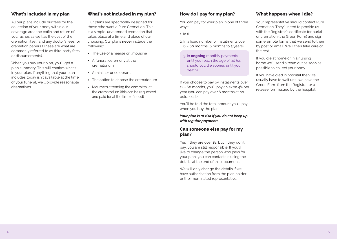# **What's included in my plan**

All our plans include our fees for the collection of your body within our coverage area the coffin and return of your ashes as well as the cost of the cremation itself and any doctor's fees for cremation papers (These are what are commonly referred to as third party fees or disbursements).

When you buy your plan, you'll get a plan summary. This will confirm what's in your plan. If anything that your plan includes today isn't available at the time of your funeral, we'll provide reasonable alternatives.

# **What's not included in my plan?**

Our plans are specifically designed for those who want a Pure Cremation. This is a simple, unattended cremation that takes place at a time and place of our choosing. Our plans **never** include the following:

- The use of a hearse or limousine
- A funeral ceremony at the crematorium
- A minister or celebrant
- The option to choose the crematorium
- Mourners attending the committal at the crematorium (this can be requested and paid for at the time of need)

# **How do I pay for my plan?**

You can pay for your plan in one of three ways:

1. In full

- 2. In a fixed number of instalments over  $6 - 60$  months (6 months to 5 years)
	- 3. In **ongoing** monthly payments until you reach the age of 90 (or, should you die sooner, until your death)

If you choose to pay by instalments over 12 - 60 months, you'll pay an extra 4% per year (you can pay over 6 months at no extra cost).

You'll be told the total amount you'll pay when you buy the plan.

*Your plan is at risk if you do not keep up with regular payments.*

#### **Can someone else pay for my plan?**

Yes if they are over 18, but if they don't pay, you are still responsible. If you'd like to change the person who pays for your plan, you can contact us using the details at the end of this document.

We will only change the details if we have authorisation from the plan holder or their nominated representative.

# **What happens when I die?**

Your representative should contact Pure Cremation. They'll need to provide us with the Registrar's certificate for burial or cremation (the Green Form) and sign some simple forms that we send to them by post or email. We'll then take care of the rest.

If you die at home or in a nursing home we'll send a team out as soon as possible to collect your body.

If you have died in hospital then we usually have to wait until we have the Green Form from the Registrar or a release form issued by the hospital.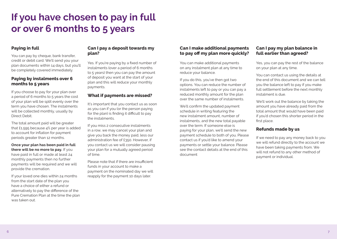# **If you have chosen to pay in full or over 6 months to 5 years**

# **Paying in full**

You can pay by cheque, bank transfer, credit or debit card. We'll send you your plan documents within 14 days, but you'll be completely covered immediately.

#### **Paying by instalments over 6 months to 5 years**

If you choose to pay for your plan over a period of 6 months to 5 years the cost of your plan will be split evenly over the term you have chosen. The instalments will be collected monthly, usually by Direct Debit.

The total amount paid will be greater that £1,595 because 4% per year is added to account for inflation for payment periods greater than 12 months.

**Once your plan has been paid in full there will be no more to pay.** If you have paid in full or made at least 24 monthly payments then no further payments will be required and we will provide the cremation.

If your loved one dies within 24 months from the start date of the plan you have a choice of either a refund or alternatively to pay the difference of the Pure Cremation Plan at the time the plan was taken out.

## **Can I pay a deposit towards my plan?**

Yes. If you're paying by a fixed number of instalments (over a period of 6 months to 5 years) then you can pay the amount of deposit you want at the start of your plan and this will reduce your monthly payments.

### **What if payments are missed?**

It's important that you contact us as soon as you can if you (or the person paying for the plan) is finding it difficult to pay the instalments.

If you miss 2 consecutive instalments in a row, we may cancel your plan and give you back the money paid, less our administration fee of £350. However, if you contact us we will consider pausing your plan for a mutually agreed period of time.

Please note that if there are insufficient funds in your account to make a payment on the nominated day we will reapply for the payment 10 days later.

### **Can I make additional payments to pay off my plan more quickly?**

You can make additional payments on any instalment plan at any time to reduce your balance.

If you do this, you've then got two options. You can reduce the number of instalments left to pay or you can pay a reduced monthly amount for the plan over the same number of instalments.

We'll confirm the updated payment schedule in writing featuring the new instalment amount, number of instalments, and the new total payable over the term. If someone else is paying for your plan, we'll send the new payment schedule to both of you. Please contact us if you'd like to amend your payments or settle your balance. Please see the contact details at the end of this document

# **Can I pay my plan balance in full earlier than agreed?**

Yes, you can pay the rest of the balance on your plan at any time.

You can contact us using the details at the end of this document and we can tell you the balance left to pay if you make full settlement before the next monthly instalment is due.

We'll work out the balance by taking the amount you have already paid from the total amount that would have been paid if you'd chosen this shorter period in the first place.

#### **Refunds made by us**

If we need to pay any money back to you we will refund directly to the account we have been taking payments from. We will not refund to any other method of payment or individual.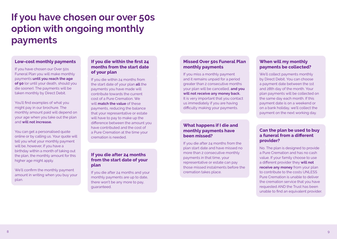# **If you have chosen our over 50s option with ongoing monthly payments**

#### **Low-cost monthly payments**

If you have chosen our Over 50s Funeral Plan you will make monthly payments **until you reach the age of 90** (or until your death, should you die sooner). The payments will be taken monthly by Direct Debit.

You'll find examples of what you might pay in our brochure. The monthly amount paid will depend on your age when you take out the plan and **will not increase.** 

You can get a personalised quote online or by calling us. Your quote will tell you what your monthly payment will be, however, if you have a birthday within a month of taking out the plan, the monthly amount for this higher age might apply.

We'll confirm the monthly payment amount in writing when you buy your plan.

#### **If you die within the first 24 months from the start date of your plan**

If you die within 24 months from the start date of your plan **all** the payments you have made will contribute towards the current cost of a Pure Cremation. We will **match the value** of these payments, reducing the balance that your representative or estate will have to pay to make up the difference between the amount you have contributed and the cost of a Pure Cremation at the time your cremation is needed.

### **If you die after 24 months from the start date of your plan**

If you die after 24 months and your monthly payments are up to date, there won't be any more to pay, guaranteed.

# **Missed Over 50s Funeral Plan monthly payments**

If you miss a monthly payment and it remains unpaid for a period greater than 2 consecutive months your plan will be cancelled, **and you will not receive any money back.** It is very important that you contact us immediately if you are having difficulty making your payments.

#### **What happens if I die and monthly payments have been missed?**

If you die after 24 months from the plan start date and have missed no more than 2 consecutive monthly payments in that time, your representative or estate can pay those missed instalments before the cremation takes place.

# **When will my monthly payments be collected?**

We'll collect payments monthly by Direct Debit. You can choose a payment date between the 1st and 28th day of the month. Your plan payments will be collected on the same day each month. If this payment date is on a weekend or on a bank holiday, we'll collect the payment on the next working day.

#### **Can the plan be used to buy a funeral from a different provider?**

No. The plan is designed to provide a Pure Cremation and has no cash value. If your family choose to use a different provider they **will not receive any money** from your plan to contribute to the costs UNLESS. Pure Cremation is unable to deliver the cremation service that you have requested AND the Trust has been unable to find an equivalent provider.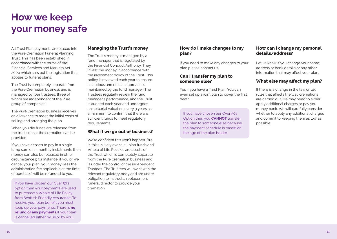# **How we keep your money safe**

All Trust Plan payments are placed into the Pure Cremation Funeral Planning Trust. This has been established in accordance with the terms of the Financial Services and Markets Act 2000 which sets out the legislation that applies to funeral plans.

The Trust is completely separate from the Pure Cremation business and is managed by four trustees, three of whom are independent of the Pure group of companies.

The Pure Cremation business receives an allowance to meet the initial costs of selling and arranging the plan.

When you die funds are released from the trust so that the cremation can be provided.

If you have chosen to pay in a single lump sum or in monthly instalments then money can also be released in other circumstances; for instance, if you or we cancel your plan, your money (less the administration fee applicable at the time of purchase) will be refunded to you.

If you have chosen our Over 50's option then your payments are used to purchase a Whole of Life Policy from Scottish Friendly Assurance. To receive your plan benefit you must keep up your payments. There is **no refund of any payments** if your plan is cancelled either by us or by you.

#### **Managing the Trust's money**

The Trust's money is managed by a fund manager that is regulated by the Financial Conduct Authority. They invest the money in accordance with the investment policy of the Trust. This policy is reviewed each year to ensure a cautious and ethical approach is maintained by the fund manager. The Trustees regularly review the fund manager's performance, and the Trust is audited each year and undergoes an actuarial valuation every 3 years as a minimum to confirm that there are sufficient funds to meet regulatory requirements.

#### **What if we go out of business?**

We're confident this won't happen. But in this unlikely event, all plan funds and Whole of Life Policies are assets of the Trust which is completely separate from the Pure Cremation business and is under the control of the independent Trustees. The Trustees will work with the relevant regulatory body and are under obligation to instruct a replacement funeral director to provide your cremation.

#### **How do I make changes to my plan?**

If you need to make any changes to your plan please contact us.

#### **Can I transfer my plan to someone else?**

Yes if you have a Trust Plan. You can even set up a joint plan to cover the first death.

If you have chosen our Over 50s Option then you **CANNOT** transfer the plan to someone else because the payment schedule is based on the age of the plan holder.

#### **How can I change my personal details/address?**

Let us know if you change your name, address or bank details or any other information that may affect your plan.

### **What else may affect my plan?**

If there is a change in the law or tax rules that affects the way cremations are carried out, we may need to either apply additional charges or pay you money back. We will carefully consider whether to apply any additional charges and commit to keeping them as low as possible.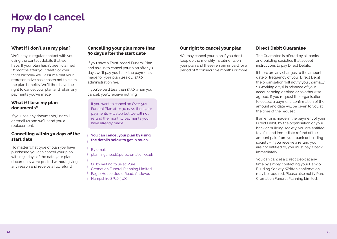# **How do I cancel my plan?**

# **What if I don't use my plan?**

We'll stay in regular contact with you using the contact details that we have. If your plan hasn't been claimed 12 months after your death or your 110th birthday we'll assume that your representative has chosen not to claim the plan benefits. We'll then have the right to cancel your plan and retain any payments you've made.

### **What if I lose my plan documents?**

If you lose any documents just call or email us and we'll send you a replacement.

# **Cancelling within 30 days of the start date**

No matter what type of plan you have purchased you can cancel your plan within 30 days of the date your plan documents were posted without giving any reason and receive a full refund.

#### **Cancelling your plan more than 30 days after the start date**

If you have a Trust-based Funeral Plan and ask us to cancel your plan after 30 days we'll pay you back the payments made for your plan less our £350 administration fee.

If you've paid less than £350 when you cancel, you'll receive nothing.

If you want to cancel an Over 50s Funeral Plan after 30 days then your payments will stop but we will not refund the monthly payments you have already made.

**You can cancel your plan by using the details below to get in touch.** 

By email: planningahead@purecremation.co.uk

Or by writing to us at: Pure Cremation Funeral Planning Limited, Eagle House, Joule Road, Andover, Hampshire SP10 3UX

## **Our right to cancel your plan**

We may cancel your plan if you don't keep up the monthly instalments on your plan and these remain unpaid for a period of 2 consecutive months or more.

## **Direct Debit Guarantee**

The Guarantee is offered by all banks and building societies that accept instructions to pay Direct Debits.

If there are any changes to the amount, date or frequency of your Direct Debit the organisation will notify you (normally 10 working days) in advance of your account being debited or as otherwise agreed. If you request the organisation to collect a payment, confirmation of the amount and date will be given to you at the time of the request.

If an error is made in the payment of your Direct Debit, by the organisation or your bank or building society, you are entitled to a full and immediate refund of the amount paid from your bank or building society - If you receive a refund you are not entitled to, you must pay it back immediately.

You can cancel a Direct Debit at any time by simply contacting your Bank or Building Society. Written confirmation may be required. Please also notify Pure Cremation Funeral Planning Limited.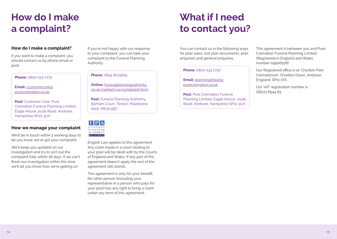# **How do I make a complaint?**

# **How do I make a complaint?**

if you want to make a complaint, you should contact us by phone email or post.

#### **Phone:** 0800 033 7737

**Email:** customercare@ purecremation.co.uk

**Post:** Customer Care, Pure Cremation Funeral Planning Limited, Eagle House,Joule Road, Andover, Hampshire SP10 3UX

# **How we manage your complaint**

We'll be in touch within 5 working days to let you know we've got your complaint.

We'll keep you updated on our investigation and try to sort out the complaint fully within 28 days. If we can't finish our investigation within this time we'll let you know how we're getting on.

If you're not happy with our response to your complaint, you can take your complaint to the Funeral Planning Authority

#### **Phone:** 0845 6019619

**Online:** funeralplanningauthority. co.uk/contact-us/complaint-form

**Post:** Funeral Planning Authority, Barham Court, Teston, Maidstone, Kent, ME18 5BZ and the contract of the contract of the contract of the contract of the contract of the contract of the contract of

|  | FUNERAL<br>$P$ I A N N I N $G$<br><b>AUTHORITY</b> |  |
|--|----------------------------------------------------|--|
|  | <b>REGISTERED</b>                                  |  |

English Law applies to this agreement. Any claim made in a court relating to your plan will be dealt with by the Courts of England and Wales. If any part of the agreement doesn't apply the rest of the agreement still stands.

This agreement is only for your benefit. No other person (including your representative or a person who pays for your plan) has any right to bring a claim under any term of this agreement.

# **What if I need to contact you?**

You can contact us in the following ways for plan sales, lost plan documents, plan enquiries and general enquiries.

#### **Phone:** 0800 033 7737

**Email:** planningahead@ purecremation.co.uk

**Post: Pure Cremation Funeral** Planning Limited, Eagle House, Joule Road, Andover, Hampshire SP10 3UX 

This agreement is between you and Pure Cremation Funeral Planning Limited (Registered in England and Wales number 09906976)

Our Registered office is at: Charlton Park Crematorium, Charlton Down, Andover, England, SP11 0TA

Our VAT registration number is GB273 6544 83